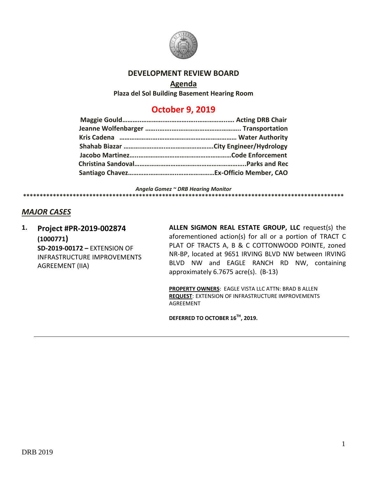

## **DEVELOPMENT REVIEW BOARD**

## **Agenda**

**Plaza del Sol Building Basement Hearing Room**

## **October 9, 2019**

*Angela Gomez ~ DRB Hearing Monitor* **\*\*\*\*\*\*\*\*\*\*\*\*\*\*\*\*\*\*\*\*\*\*\*\*\*\*\*\*\*\*\*\*\*\*\*\*\*\*\*\*\*\*\*\*\*\*\*\*\*\*\*\*\*\*\*\*\*\*\*\*\*\*\*\*\*\*\*\*\*\*\*\*\*\*\*\*\*\*\*\*\*\*\*\*\*\*\*\*\*\*\*\*\*\*\*\*\***

## *MAJOR CASES*

**1. Project #PR-2019-002874 (1000771) SD-2019-00172 –** EXTENSION OF INFRASTRUCTURE IMPROVEMENTS AGREEMENT (IIA)

**ALLEN SIGMON REAL ESTATE GROUP, LLC** request(s) the aforementioned action(s) for all or a portion of TRACT C PLAT OF TRACTS A, B & C COTTONWOOD POINTE, zoned NR-BP, located at 9651 IRVING BLVD NW between IRVING BLVD NW and EAGLE RANCH RD NW, containing approximately 6.7675 acre(s). (B-13)

**PROPERTY OWNERS**: EAGLE VISTA LLC ATTN: BRAD B ALLEN **REQUEST**: EXTENSION OF INFRASTRUCTURE IMPROVEMENTS AGREEMENT

**DEFERRED TO OCTOBER 16TH, 2019.**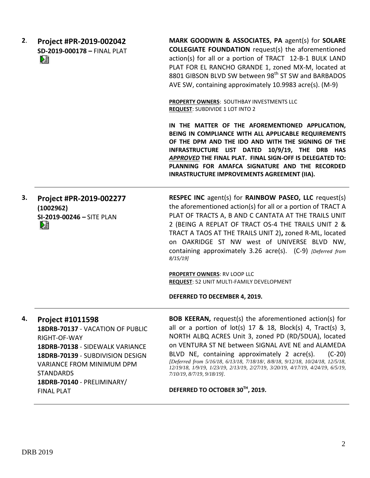| 2. | Project #PR-2019-002042<br>SD-2019-000178 - FINAL PLAT<br>LB.                                                                                                                                                                                                 | MARK GOODWIN & ASSOCIATES, PA agent(s) for SOLARE<br><b>COLLEGIATE FOUNDATION</b> request(s) the aforementioned<br>action(s) for all or a portion of TRACT 12-B-1 BULK LAND<br>PLAT FOR EL RANCHO GRANDE 1, zoned MX-M, located at<br>8801 GIBSON BLVD SW between 98 <sup>th</sup> ST SW and BARBADOS<br>AVE SW, containing approximately 10.9983 acre(s). (M-9)<br>PROPERTY OWNERS: SOUTHBAY INVESTMENTS LLC<br>REQUEST: SUBDIVIDE 1 LOT INTO 2<br>IN THE MATTER OF THE AFOREMENTIONED APPLICATION,                                            |
|----|---------------------------------------------------------------------------------------------------------------------------------------------------------------------------------------------------------------------------------------------------------------|-------------------------------------------------------------------------------------------------------------------------------------------------------------------------------------------------------------------------------------------------------------------------------------------------------------------------------------------------------------------------------------------------------------------------------------------------------------------------------------------------------------------------------------------------|
|    |                                                                                                                                                                                                                                                               | BEING IN COMPLIANCE WITH ALL APPLICABLE REQUIREMENTS<br>OF THE DPM AND THE IDO AND WITH THE SIGNING OF THE<br>INFRASTRUCTURE LIST DATED 10/9/19, THE DRB HAS<br>APPROVED THE FINAL PLAT. FINAL SIGN-OFF IS DELEGATED TO:<br>PLANNING FOR AMAFCA SIGNATURE AND THE RECORDED<br>INRASTRUCTURE IMPROVEMENTS AGREEMENT (IIA).                                                                                                                                                                                                                       |
| 3. | Project #PR-2019-002277<br>(1002962)<br>SI-2019-00246 - SITE PLAN<br>L.                                                                                                                                                                                       | <b>RESPEC INC</b> agent(s) for <b>RAINBOW PASEO, LLC</b> request(s)<br>the aforementioned action(s) for all or a portion of TRACT A<br>PLAT OF TRACTS A, B AND C CANTATA AT THE TRAILS UNIT<br>2 (BEING A REPLAT OF TRACT OS-4 THE TRAILS UNIT 2 &<br>TRACT A TAOS AT THE TRAILS UNIT 2), zoned R-ML, located<br>on OAKRIDGE ST NW west of UNIVERSE BLVD NW,<br>containing approximately 3.26 acre(s). (C-9) [Deferred from<br>$8/15/19$ ]                                                                                                      |
|    |                                                                                                                                                                                                                                                               | <b>PROPERTY OWNERS: RV LOOP LLC</b><br>REQUEST: 52 UNIT MULTI-FAMILY DEVELOPMENT<br>DEFERRED TO DECEMBER 4, 2019.                                                                                                                                                                                                                                                                                                                                                                                                                               |
| 4. | <b>Project #1011598</b><br>18DRB-70137 - VACATION OF PUBLIC<br>RIGHT-OF-WAY<br>18DRB-70138 - SIDEWALK VARIANCE<br>18DRB-70139 - SUBDIVISION DESIGN<br><b>VARIANCE FROM MINIMUM DPM</b><br><b>STANDARDS</b><br>18DRB-70140 - PRELIMINARY/<br><b>FINAL PLAT</b> | <b>BOB KEERAN, request(s) the aforementioned action(s) for</b><br>all or a portion of $lot(s)$ 17 & 18, Block(s) 4, Tract(s) 3,<br>NORTH ALBQ ACRES Unit 3, zoned PD (RD/5DUA), located<br>on VENTURA ST NE between SIGNAL AVE NE and ALAMEDA<br>$(C-20)$<br>BLVD NE, containing approximately 2 acre(s).<br>[Deferred from 5/16/18, 6/13/18, 7/18/18/, 8/8/18, 9/12/18, 10/24/18, 12/5/18,<br>12/19/18, 1/9/19, 1/23/19, 2/13/19, 2/27/19, 3/20/19, 4/17/19, 4/24/19, 6/5/19,<br>7/10/19, 8/7/19, 9/18/19].<br>DEFERRED TO OCTOBER 30TH, 2019. |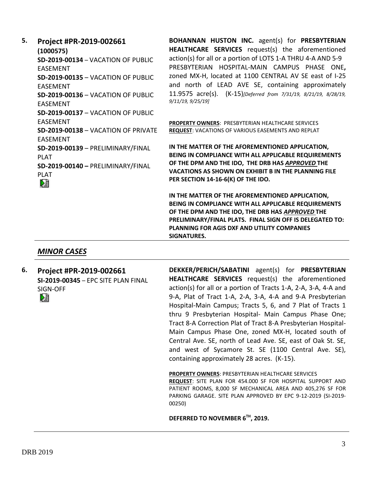# **5. Project #PR-2019-002661**

**(1000575) SD-2019-00134** – VACATION OF PUBLIC EASEMENT **SD-2019-00135** – VACATION OF PUBLIC EASEMENT **SD-2019-00136** – VACATION OF PUBLIC EASEMENT **SD-2019-00137** – VACATION OF PUBLIC EASEMENT **SD-2019-00138** – VACATION OF PRIVATE EASEMENT **SD-2019-00139** – PRELIMINARY/FINAL PLAT **SD-2019-00140 –** PRELIMINARY/FINAL PLAT Dè

**BOHANNAN HUSTON INC.** agent(s) for **PRESBYTERIAN HEALTHCARE SERVICES** request(s) the aforementioned action(s) for all or a portion of LOTS 1-A THRU 4-A AND 5-9 PRESBYTERIAN HOSPITAL-MAIN CAMPUS PHASE ONE**,**  zoned MX-H, located at 1100 CENTRAL AV SE east of I-25 and north of LEAD AVE SE, containing approximately 11.9575 acre(s). (K-15)*[Deferred from 7/31/19, 8/21/19, 8/28/19, 9/11/19, 9/25/19]*

**PROPERTY OWNERS**: PRESBYTERIAN HEALTHCARE SERVICES **REQUEST**: VACATIONS OF VARIOUS EASEMENTS AND REPLAT

**IN THE MATTER OF THE AFOREMENTIONED APPLICATION, BEING IN COMPLIANCE WITH ALL APPLICABLE REQUIREMENTS OF THE DPM AND THE IDO, THE DRB HAS** *APPROVED* **THE VACATIONS AS SHOWN ON EXHIBIT B IN THE PLANNING FILE PER SECTION 14-16-6(K) OF THE IDO.**

**IN THE MATTER OF THE AFOREMENTIONED APPLICATION, BEING IN COMPLIANCE WITH ALL APPLICABLE REQUIREMENTS OF THE DPM AND THE IDO, THE DRB HAS** *APPROVED* **THE PRELIMINARY/FINAL PLATS. FINAL SIGN OFF IS DELEGATED TO: PLANNING FOR AGIS DXF AND UTILITY COMPANIES SIGNATURES.**

## *MINOR CASES*

**6. Project #PR-2019-002661 SI-2019-00345** – EPC SITE PLAN FINAL SIGN-OFF Dă

**DEKKER/PERICH/SABATINI** agent(s) for **PRESBYTERIAN HEALTHCARE SERVICES** request(s) the aforementioned action(s) for all or a portion of Tracts 1-A, 2-A, 3-A, 4-A and 9-A, Plat of Tract 1-A, 2-A, 3-A, 4-A and 9-A Presbyterian Hospital-Main Campus; Tracts 5, 6, and 7 Plat of Tracts 1 thru 9 Presbyterian Hospital- Main Campus Phase One; Tract 8-A Correction Plat of Tract 8-A Presbyterian Hospital-Main Campus Phase One, zoned MX-H, located south of Central Ave. SE, north of Lead Ave. SE, east of Oak St. SE, and west of Sycamore St. SE (1100 Central Ave. SE), containing approximately 28 acres. (K-15).

**PROPERTY OWNERS**: PRESBYTERIAN HEALTHCARE SERVICES

**REQUEST**: SITE PLAN FOR 454.000 SF FOR HOSPITAL SUPPORT AND PATIENT ROOMS, 8,000 SF MECHANICAL AREA AND 405,276 SF FOR PARKING GARAGE. SITE PLAN APPROVED BY EPC 9-12-2019 (SI-2019- 00250)

#### **DEFERRED TO NOVEMBER 6TH, 2019.**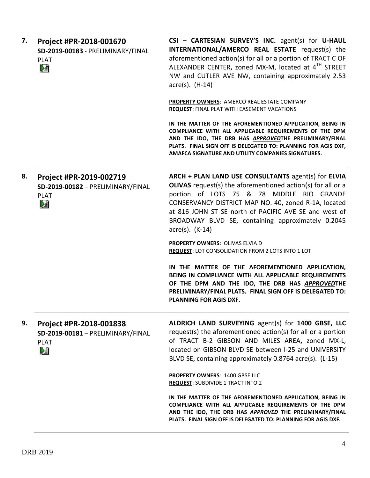| Project #PR-2018-001670<br>SD-2019-00183 - PRELIMINARY/FINAL<br><b>PLAT</b><br>V. | CSI - CARTESIAN SURVEY'S INC. agent(s) for U-HAUL<br>INTERNATIONAL/AMERCO REAL ESTATE request(s) the<br>aforementioned action(s) for all or a portion of TRACT C OF<br>ALEXANDER CENTER, zoned MX-M, located at 4TH STREET<br>NW and CUTLER AVE NW, containing approximately 2.53<br>$\arccos(5)$ . $(H-14)$<br><b>PROPERTY OWNERS: AMERCO REAL ESTATE COMPANY</b><br>REQUEST: FINAL PLAT WITH EASEMENT VACATIONS<br>IN THE MATTER OF THE AFOREMENTIONED APPLICATION, BEING IN<br>COMPLIANCE WITH ALL APPLICABLE REQUIREMENTS OF THE DPM<br>AND THE IDO, THE DRB HAS APPROVEDTHE PRELIMINARY/FINAL<br>PLATS. FINAL SIGN OFF IS DELEGATED TO: PLANNING FOR AGIS DXF,<br>AMAFCA SIGNATURE AND UTILITY COMPANIES SIGNATURES. |
|-----------------------------------------------------------------------------------|---------------------------------------------------------------------------------------------------------------------------------------------------------------------------------------------------------------------------------------------------------------------------------------------------------------------------------------------------------------------------------------------------------------------------------------------------------------------------------------------------------------------------------------------------------------------------------------------------------------------------------------------------------------------------------------------------------------------------|
| Project #PR-2019-002719<br>SD-2019-00182 - PRELIMINARY/FINAL<br><b>PLAT</b><br>N. | ARCH + PLAN LAND USE CONSULTANTS agent(s) for ELVIA<br><b>OLIVAS</b> request(s) the aforementioned action(s) for all or a<br>portion of LOTS 75 & 78 MIDDLE RIO GRANDE<br>CONSERVANCY DISTRICT MAP NO. 40, zoned R-1A, located<br>at 816 JOHN ST SE north of PACIFIC AVE SE and west of<br>BROADWAY BLVD SE, containing approximately 0.2045<br>$\arccos(5)$ . (K-14)                                                                                                                                                                                                                                                                                                                                                     |
|                                                                                   | <b>PROPERTY OWNERS: OLIVAS ELVIA D</b><br><b>REQUEST: LOT CONSOLIDATION FROM 2 LOTS INTO 1 LOT</b><br>IN THE MATTER OF THE AFOREMENTIONED APPLICATION,<br>BEING IN COMPLIANCE WITH ALL APPLICABLE REQUIREMENTS<br>OF THE DPM AND THE IDO, THE DRB HAS APPROVEDTHE<br>PRELIMINARY/FINAL PLATS. FINAL SIGN OFF IS DELEGATED TO:<br>PLANNING FOR AGIS DXF.                                                                                                                                                                                                                                                                                                                                                                   |
| Project #PR-2018-001838<br>SD-2019-00181 - PRELIMINARY/FINAL<br><b>PLAT</b><br>熖  | ALDRICH LAND SURVEYING agent(s) for 1400 GBSE, LLC<br>request(s) the aforementioned action(s) for all or a portion<br>of TRACT B-2 GIBSON AND MILES AREA, zoned MX-L,<br>located on GIBSON BLVD SE between I-25 and UNIVERSITY<br>BLVD SE, containing approximately 0.8764 acre(s). (L-15)                                                                                                                                                                                                                                                                                                                                                                                                                                |
|                                                                                   | PROPERTY OWNERS: 1400 GBSE LLC<br><b>REQUEST: SUBDIVIDE 1 TRACT INTO 2</b><br>IN THE MATTER OF THE AFOREMENTIONED APPLICATION, BEING IN<br>COMPLIANCE WITH ALL APPLICABLE REQUIREMENTS OF THE DPM<br>AND THE IDO, THE DRB HAS APPROVED THE PRELIMINARY/FINAL<br>PLATS. FINAL SIGN OFF IS DELEGATED TO: PLANNING FOR AGIS DXF.                                                                                                                                                                                                                                                                                                                                                                                             |
|                                                                                   |                                                                                                                                                                                                                                                                                                                                                                                                                                                                                                                                                                                                                                                                                                                           |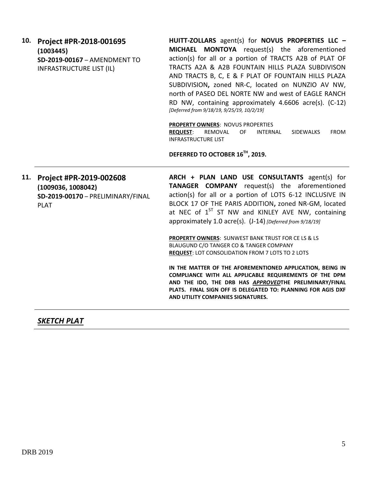|  | 10. Project #PR-2018-001695     | н |
|--|---------------------------------|---|
|  | (1003445)                       | N |
|  | SD-2019-00167 - AMENDMENT TO    | a |
|  | <b>INFRASTRUCTURE LIST (IL)</b> |   |
|  |                                 | А |

**HUITT-ZOLLARS** agent(s) for **NOVUS PROPERTIES LLC – MICHAEL MONTOYA** request(s) the aforementioned ction(s) for all or a portion of TRACTS A2B of PLAT OF RACTS A2A & A2B FOUNTAIN HILLS PLAZA SUBDIVISON AND TRACTS B, C, E & F PLAT OF FOUNTAIN HILLS PLAZA SUBDIVISION**,** zoned NR-C, located on NUNZIO AV NW, north of PASEO DEL NORTE NW and west of EAGLE RANCH RD NW, containing approximately 4.6606 acre(s). (C-12) *[Deferred from 9/18/19, 9/25/19, 10/2/19]*

**PROPERTY OWNERS**: NOVUS PROPERTIES

**REQUEST**: REMOVAL OF INTERNAL SIDEWALKS FROM INFRASTRUCTURE LIST

**DEFERRED TO OCTOBER 16TH, 2019.**

**11. Project #PR-2019-002608 (1009036, 1008042) SD-2019-00170** – PRELIMINARY/FINAL PLAT

**ARCH + PLAN LAND USE CONSULTANTS** agent(s) for **TANAGER COMPANY** request(s) the aforementioned action(s) for all or a portion of LOTS 6-12 INCLUSIVE IN BLOCK 17 OF THE PARIS ADDITION**,** zoned NR-GM, located at NEC of  $1<sup>ST</sup>$  ST NW and KINLEY AVE NW, containing approximately 1.0 acre(s). (J-14) *[Deferred from 9/18/19]*

**PROPERTY OWNERS**: SUNWEST BANK TRUST FOR CE LS & LS BLAUGUND C/O TANGER CO & TANGER COMPANY **REQUEST**: LOT CONSOLIDATION FROM 7 LOTS TO 2 LOTS

**IN THE MATTER OF THE AFOREMENTIONED APPLICATION, BEING IN COMPLIANCE WITH ALL APPLICABLE REQUIREMENTS OF THE DPM AND THE IDO, THE DRB HAS** *APPROVED***THE PRELIMINARY/FINAL PLATS. FINAL SIGN OFF IS DELEGATED TO: PLANNING FOR AGIS DXF AND UTILITY COMPANIES SIGNATURES.** 

*SKETCH PLAT*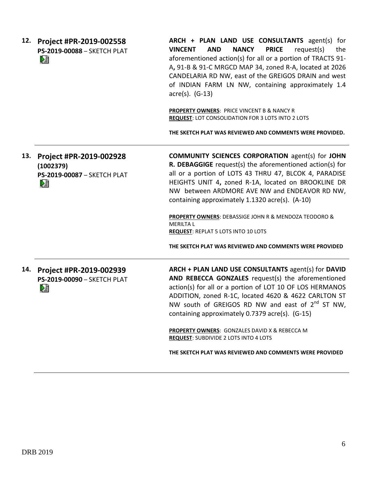| 12. | Project #PR-2019-002558<br>PS-2019-00088 - SKETCH PLAT<br>L.             | ARCH + PLAN LAND USE CONSULTANTS agent(s) for<br><b>AND</b><br><b>NANCY</b><br><b>PRICE</b><br>request(s)<br><b>VINCENT</b><br>the<br>aforementioned action(s) for all or a portion of TRACTS 91-<br>A, 91-B & 91-C MRGCD MAP 34, zoned R-A, located at 2026<br>CANDELARIA RD NW, east of the GREIGOS DRAIN and west<br>of INDIAN FARM LN NW, containing approximately 1.4<br>$\arccos 0$ . (G-13)                                                                                                                             |
|-----|--------------------------------------------------------------------------|--------------------------------------------------------------------------------------------------------------------------------------------------------------------------------------------------------------------------------------------------------------------------------------------------------------------------------------------------------------------------------------------------------------------------------------------------------------------------------------------------------------------------------|
|     |                                                                          | PROPERTY OWNERS: PRICE VINCENT B & NANCY R<br>REQUEST: LOT CONSOLIDATION FOR 3 LOTS INTO 2 LOTS<br>THE SKETCH PLAT WAS REVIEWED AND COMMENTS WERE PROVIDED.                                                                                                                                                                                                                                                                                                                                                                    |
| 13. | Project #PR-2019-002928<br>(1002379)<br>PS-2019-00087 - SKETCH PLAT<br>N | <b>COMMUNITY SCIENCES CORPORATION agent(s) for JOHN</b><br>R. DEBAGGIGE request(s) the aforementioned action(s) for<br>all or a portion of LOTS 43 THRU 47, BLCOK 4, PARADISE<br>HEIGHTS UNIT 4, zoned R-1A, located on BROOKLINE DR<br>NW between ARDMORE AVE NW and ENDEAVOR RD NW,<br>containing approximately 1.1320 acre(s). (A-10)<br>PROPERTY OWNERS: DEBASSIGE JOHN R & MENDOZA TEODORO &<br><b>MERILTA L</b><br><b>REQUEST: REPLAT 5 LOTS INTO 10 LOTS</b><br>THE SKETCH PLAT WAS REVIEWED AND COMMENTS WERE PROVIDED |
| 14. | Project #PR-2019-002939<br>PS-2019-00090 - SKETCH PLAT<br>N              | ARCH + PLAN LAND USE CONSULTANTS agent(s) for DAVID<br>AND REBECCA GONZALES request(s) the aforementioned<br>action(s) for all or a portion of LOT 10 OF LOS HERMANOS<br>ADDITION, zoned R-1C, located 4620 & 4622 CARLTON ST<br>NW south of GREIGOS RD NW and east of 2 <sup>nd</sup> ST NW,<br>containing approximately 0.7379 acre(s). (G-15)<br><b>PROPERTY OWNERS: GONZALES DAVID X &amp; REBECCA M</b><br><b>REQUEST: SUBDIVIDE 2 LOTS INTO 4 LOTS</b><br>THE SKETCH PLAT WAS REVIEWED AND COMMENTS WERE PROVIDED        |